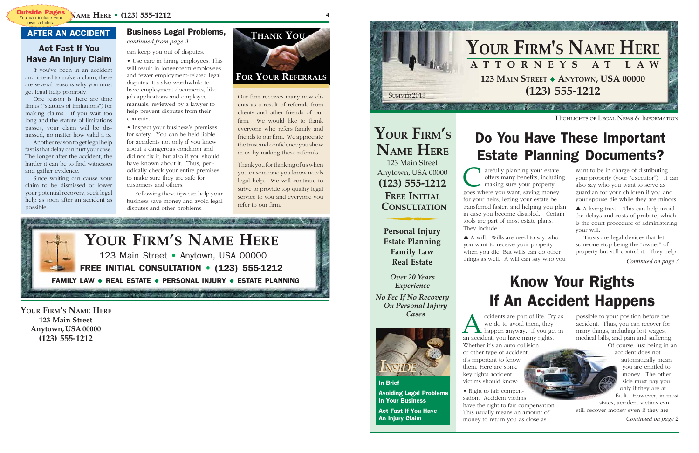# Know Your Rights If An Accident Happens

# Do You Have These Important Estate Planning Documents?

want to be in charge of distributing your property (your "executor"). It can also say who you want to serve as guardian for your children if you and your spouse die while they are minors.

**C** arefully planning your estate offers many benefits, including making sure your property goes where you want, saving money arefully planning your estate offers many benefits, including making sure your property for your heirs, letting your estate be transferred faster, and helping you plan in case you become disabled. Certain tools are part of most estate plans. They include:

▲ A living trust. This can help avoid the delays and costs of probate, which is the court procedure of administering your will.

Trusts are legal devices that let someone stop being the "owner" of property but still control it. They help

*Continued on page 3*

cidents are part of life. Try<br>we do to avoid them, they<br>happen anyway. If you ge<br>an accident, you have many rights. ccidents are part of life. Try as we do to avoid them, they happen anyway. If you get in Whether it's an auto collision or other type of accident, it's important to know them. Here are some key rights accident victims should know:

▲ A will. Wills are used to say who you want to receive your property when you die. But wills can do other things as well. A will can say who you

*Continued on page 2*

HIGHLIGHTS OF LEGAL NEWS *&* INFORMATION



possible to your position before the accident. Thus, you can recover for many things, including lost wages, medical bills, and pain and suffering.

Of course, just being in an accident does not automatically mean you are entitled to money. The other side must pay you only if they are at fault. However, in most states, accident victims can

still recover money even if they are

• Right to fair compensation. Accident victims have the right to fair compensation. This usually means an amount of money to return you as close as



### In Brief

Avoiding Legal Problems In Your Business Act Fast If You Have An Injury Claim

## **(123) 555-1212 FREE INITIAL CONSULTATION**

**Personal Injury Estate Planning Family Law Real Estate**

**YOUR FIRM'S NAME HERE** 123 Main Street Anytown, USA 00000

> *Over 20 Years Experience*

*No Fee If No Recovery On Personal Injury Cases*

4

### Business Legal Problems, *continued from page 3*

**YOUR FIRM'S NAME HERE 123 Main Street Anytown, USA 00000 (123) 555-1212**

can keep you out of disputes.

- Use care in hiring employees. This will result in longer-term employees and fewer employment-related legal disputes. It's also worthwhile to have employment documents, like job applications and employee manuals, reviewed by a lawyer to help prevent disputes from their contents.
- Inspect your business's premises for safety. You can be held liable for accidents not only if you knew about a dangerous condition and did not fix it, but also if you should have known about it. Thus, periodically check your entire premises to make sure they are safe for customers and others.

Following these tips can help your business save money and avoid legal disputes and other problems.

If you've been in an accident and intend to make a claim, there are several reasons why you must get legal help promptly.

One reason is there are time limits ("statutes of limitations") for making claims. If you wait too long and the statute of limitations passes, your claim will be dismissed, no matter how valid it is.

Another reason to get legal help fast is that delay can hurt your case. The longer after the accident, the harder it can be to find witnesses and gather evidence.

Since waiting can cause your claim to be dismissed or lower your potential recovery, seek legal help as soon after an accident as possible.

Our firm receives many new clients as a result of referrals from clients and other friends of our firm. We would like to thank everyone who refers family and friends to our firm. We appreciate the trust and confidence you show in us by making these referrals.

Thank you for thinking of us when you or someone you know needs legal help. We will continue to strive to provide top quality legal service to you and everyone you refer to our firm.

## **FOR YOUR REFERRALS**



## Act Fast If You Have An Injury Claim

## AFTER AN ACCIDENT



own articles.